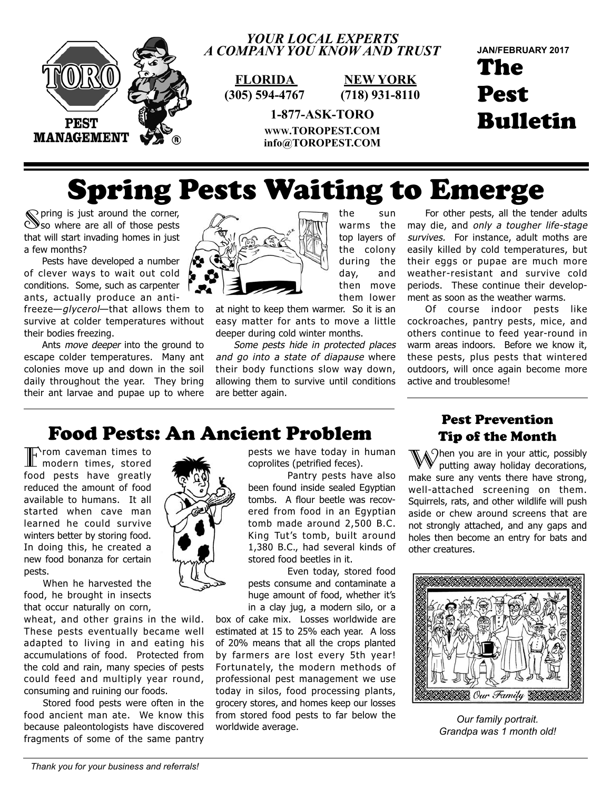

#### *YOUR LOCAL EXPERTS A COMPANY YOU KNOW AND TRUST*

**FLORIDA (305) 594-4767**

**NEW YORK (718) 931-8110**

> the sun warms the top layers of the colony during the day, and then move them lower

The Pest Bulletin **JAN/FEBRUARY 2017**

**1-877-ASK-TORO WWW.TOROPEST.COM info@TOROPEST.COM**

# Spring Pests Waiting to Emerge

Spring is just around the corner, so where are all of those pests that will start invading homes in just a few months?

Pests have developed a number of clever ways to wait out cold conditions. Some, such as carpenter ants, actually produce an anti-

freeze—glycerol—that allows them to survive at colder temperatures without their bodies freezing.

Ants *move deeper* into the ground to escape colder temperatures. Many ant colonies move up and down in the soil daily throughout the year. They bring their ant larvae and pupae up to where



at night to keep them warmer. So it is an easy matter for ants to move a little deeper during cold winter months.

Some pests hide in protected places and go into a state of diapause where their body functions slow way down, allowing them to survive until conditions are better again.

For other pests, all the tender adults may die, and only a tougher life-stage survives. For instance, adult moths are easily killed by cold temperatures, but their eggs or pupae are much more weather-resistant and survive cold periods. These continue their development as soon as the weather warms.

Of course indoor pests like cockroaches, pantry pests, mice, and others continue to feed year-round in warm areas indoors. Before we know it, these pests, plus pests that wintered outdoors, will once again become more active and troublesome!

#### Food Pests: An Ancient Problem

Therm caveman times to modern times, stored food pests have greatly reduced the amount of food available to humans. It all started when cave man learned he could survive winters better by storing food. In doing this, he created a new food bonanza for certain pests.

 food, he brought in insects When he harvested the that occur naturally on corn,

wheat, and other grains in the wild. These pests eventually became well adapted to living in and eating his accumulations of food. Protected from the cold and rain, many species of pests could feed and multiply year round, consuming and ruining our foods.

 food ancient man ate. We know this Stored food pests were often in the because paleontologists have discovered fragments of some of the same pantry

pests we have today in human coprolites (petrified feces).

 been found inside sealed Egyptian Pantry pests have also tombs. A flour beetle was recovered from food in an Egyptian tomb made around 2,500 B.C. King Tut's tomb, built around 1,380 B.C., had several kinds of stored food beetles in it.

 pests consume and contaminate a Even today, stored food huge amount of food, whether it's in a clay jug, a modern silo, or a

box of cake mix. Losses worldwide are estimated at 15 to 25% each year. A loss of 20% means that all the crops planted by farmers are lost every 5th year! Fortunately, the modern methods of professional pest management we use today in silos, food processing plants, grocery stores, and homes keep our losses from stored food pests to far below the worldwide average.

#### Pest Prevention Tip of the Month

 $\setminus$   $\cap$ hen you are in your attic, possibly putting away holiday decorations, make sure any vents there have strong, well-attached screening on them. Squirrels, rats, and other wildlife will push aside or chew around screens that are not strongly attached, and any gaps and holes then become an entry for bats and other creatures.



*Our family portrait. Grandpa was 1 month old!*